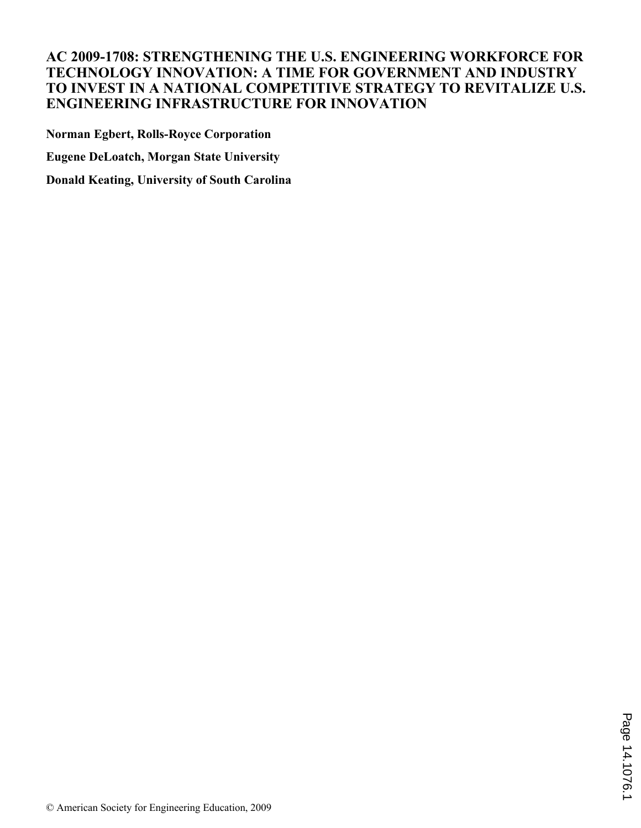## **AC 2009-1708: STRENGTHENING THE U.S. ENGINEERING WORKFORCE FOR TECHNOLOGY INNOVATION: A TIME FOR GOVERNMENT AND INDUSTRY TO INVEST IN A NATIONAL COMPETITIVE STRATEGY TO REVITALIZE U.S. ENGINEERING INFRASTRUCTURE FOR INNOVATION**

**Norman Egbert, Rolls-Royce Corporation Eugene DeLoatch, Morgan State University**

**Donald Keating, University of South Carolina**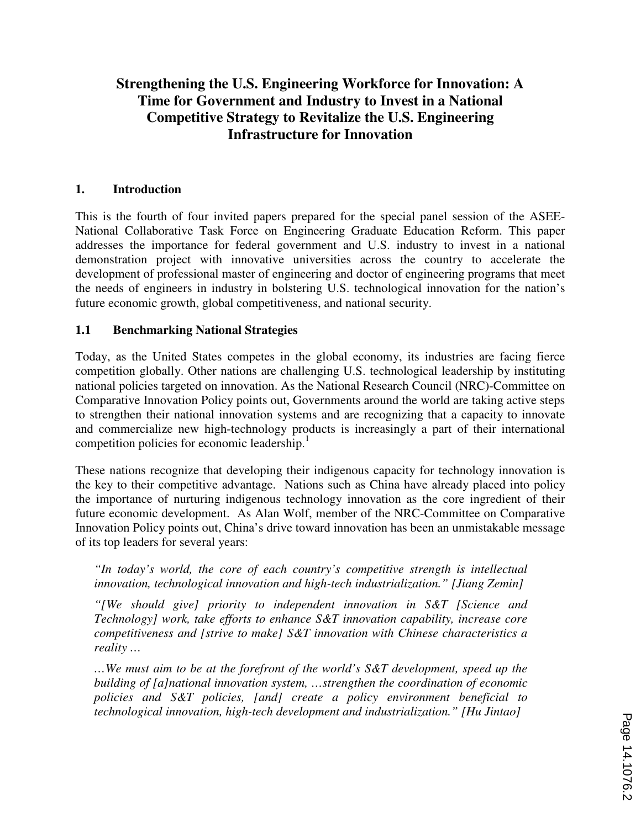## **Strengthening the U.S. Engineering Workforce for Innovation: A Time for Government and Industry to Invest in a National Competitive Strategy to Revitalize the U.S. Engineering Infrastructure for Innovation**

#### **1. Introduction**

This is the fourth of four invited papers prepared for the special panel session of the ASEE-National Collaborative Task Force on Engineering Graduate Education Reform. This paper addresses the importance for federal government and U.S. industry to invest in a national demonstration project with innovative universities across the country to accelerate the development of professional master of engineering and doctor of engineering programs that meet the needs of engineers in industry in bolstering U.S. technological innovation for the nation's future economic growth, global competitiveness, and national security.

#### **1.1 Benchmarking National Strategies**

Today, as the United States competes in the global economy, its industries are facing fierce competition globally. Other nations are challenging U.S. technological leadership by instituting national policies targeted on innovation. As the National Research Council (NRC)-Committee on Comparative Innovation Policy points out, Governments around the world are taking active steps to strengthen their national innovation systems and are recognizing that a capacity to innovate and commercialize new high-technology products is increasingly a part of their international competition policies for economic leadership.<sup>1</sup>

These nations recognize that developing their indigenous capacity for technology innovation is the key to their competitive advantage. Nations such as China have already placed into policy the importance of nurturing indigenous technology innovation as the core ingredient of their future economic development. As Alan Wolf, member of the NRC-Committee on Comparative Innovation Policy points out, China's drive toward innovation has been an unmistakable message of its top leaders for several years:

*"In today's world, the core of each country's competitive strength is intellectual innovation, technological innovation and high-tech industrialization." [Jiang Zemin]* 

*"[We should give] priority to independent innovation in S&T [Science and Technology] work, take efforts to enhance S&T innovation capability, increase core competitiveness and [strive to make] S&T innovation with Chinese characteristics a reality …* 

*…We must aim to be at the forefront of the world's S&T development, speed up the building of [a]national innovation system, …strengthen the coordination of economic policies and S&T policies, [and] create a policy environment beneficial to technological innovation, high-tech development and industrialization." [Hu Jintao]*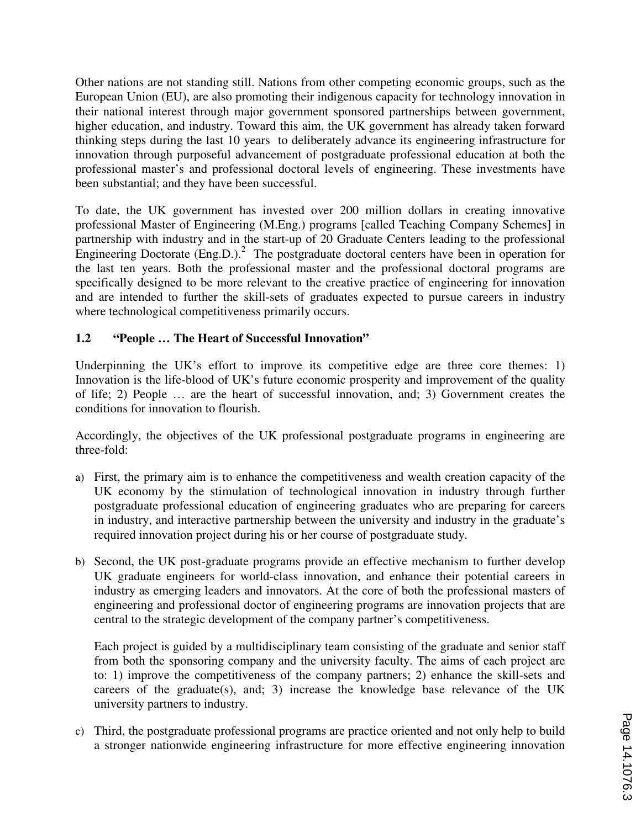Other nations are not standing still. Nations from other competing economic groups, such as the European Union (EU), are also promoting their indigenous capacity for technology innovation in their national interest through major government sponsored partnerships between government, higher education, and industry. Toward this aim, the UK government has already taken forward thinking steps during the last 10 years to deliberately advance its engineering infrastructure for innovation through purposeful advancement of postgraduate professional education at both the professional master's and professional doctoral levels of engineering. These investments have been substantial; and they have been successful.

To date, the UK government has invested over 200 million dollars in creating innovative professional Master of Engineering (M.Eng.) programs [called Teaching Company Schemes] in partnership with industry and in the start-up of 20 Graduate Centers leading to the professional Engineering Doctorate  $(Eng.D.)^2$  The postgraduate doctoral centers have been in operation for the last ten years. Both the professional master and the professional doctoral programs are specifically designed to be more relevant to the creative practice of engineering for innovation and are intended to further the skill-sets of graduates expected to pursue careers in industry where technological competitiveness primarily occurs.

## **1.2 "People … The Heart of Successful Innovation"**

Underpinning the UK's effort to improve its competitive edge are three core themes: 1) Innovation is the life-blood of UK's future economic prosperity and improvement of the quality of life; 2) People … are the heart of successful innovation, and; 3) Government creates the conditions for innovation to flourish.

Accordingly, the objectives of the UK professional postgraduate programs in engineering are three-fold:

- a) First, the primary aim is to enhance the competitiveness and wealth creation capacity of the UK economy by the stimulation of technological innovation in industry through further postgraduate professional education of engineering graduates who are preparing for careers in industry, and interactive partnership between the university and industry in the graduate's required innovation project during his or her course of postgraduate study.
- b) Second, the UK post-graduate programs provide an effective mechanism to further develop UK graduate engineers for world-class innovation, and enhance their potential careers in industry as emerging leaders and innovators. At the core of both the professional masters of engineering and professional doctor of engineering programs are innovation projects that are central to the strategic development of the company partner's competitiveness.

Each project is guided by a multidisciplinary team consisting of the graduate and senior staff from both the sponsoring company and the university faculty. The aims of each project are to: 1) improve the competitiveness of the company partners; 2) enhance the skill-sets and careers of the graduate(s), and; 3) increase the knowledge base relevance of the UK university partners to industry.

c) Third, the postgraduate professional programs are practice oriented and not only help to build a stronger nationwide engineering infrastructure for more effective engineering innovation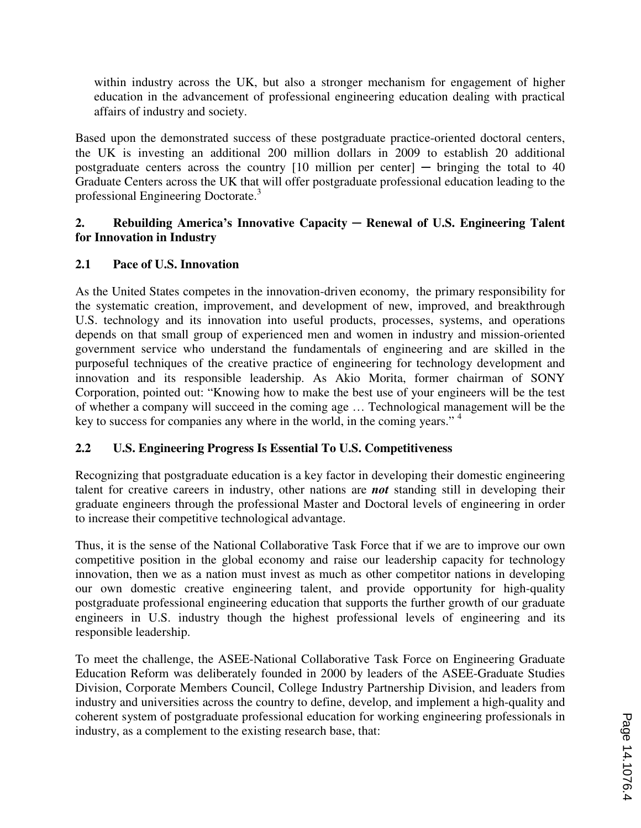within industry across the UK, but also a stronger mechanism for engagement of higher education in the advancement of professional engineering education dealing with practical affairs of industry and society.

Based upon the demonstrated success of these postgraduate practice-oriented doctoral centers, the UK is investing an additional 200 million dollars in 2009 to establish 20 additional postgraduate centers across the country  $[10 \text{ million per center}]$  - bringing the total to 40 Graduate Centers across the UK that will offer postgraduate professional education leading to the professional Engineering Doctorate.<sup>3</sup>

## **2. Rebuilding America's Innovative Capacity ─ Renewal of U.S. Engineering Talent for Innovation in Industry**

## **2.1 Pace of U.S. Innovation**

As the United States competes in the innovation-driven economy, the primary responsibility for the systematic creation, improvement, and development of new, improved, and breakthrough U.S. technology and its innovation into useful products, processes, systems, and operations depends on that small group of experienced men and women in industry and mission-oriented government service who understand the fundamentals of engineering and are skilled in the purposeful techniques of the creative practice of engineering for technology development and innovation and its responsible leadership. As Akio Morita, former chairman of SONY Corporation, pointed out: "Knowing how to make the best use of your engineers will be the test of whether a company will succeed in the coming age … Technological management will be the key to success for companies any where in the world, in the coming years."<sup>4</sup>

## **2.2 U.S. Engineering Progress Is Essential To U.S. Competitiveness**

Recognizing that postgraduate education is a key factor in developing their domestic engineering talent for creative careers in industry, other nations are *not* standing still in developing their graduate engineers through the professional Master and Doctoral levels of engineering in order to increase their competitive technological advantage.

Thus, it is the sense of the National Collaborative Task Force that if we are to improve our own competitive position in the global economy and raise our leadership capacity for technology innovation, then we as a nation must invest as much as other competitor nations in developing our own domestic creative engineering talent, and provide opportunity for high-quality postgraduate professional engineering education that supports the further growth of our graduate engineers in U.S. industry though the highest professional levels of engineering and its responsible leadership.

To meet the challenge, the ASEE-National Collaborative Task Force on Engineering Graduate Education Reform was deliberately founded in 2000 by leaders of the ASEE-Graduate Studies Division, Corporate Members Council, College Industry Partnership Division, and leaders from industry and universities across the country to define, develop, and implement a high-quality and coherent system of postgraduate professional education for working engineering professionals in industry, as a complement to the existing research base, that: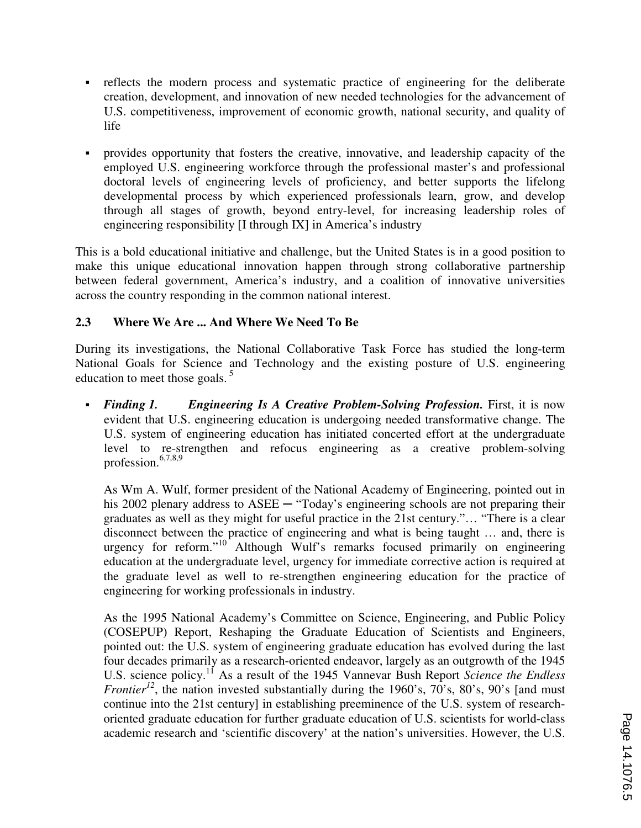- reflects the modern process and systematic practice of engineering for the deliberate creation, development, and innovation of new needed technologies for the advancement of U.S. competitiveness, improvement of economic growth, national security, and quality of life
- § provides opportunity that fosters the creative, innovative, and leadership capacity of the employed U.S. engineering workforce through the professional master's and professional doctoral levels of engineering levels of proficiency, and better supports the lifelong developmental process by which experienced professionals learn, grow, and develop through all stages of growth, beyond entry-level, for increasing leadership roles of engineering responsibility [I through IX] in America's industry

This is a bold educational initiative and challenge, but the United States is in a good position to make this unique educational innovation happen through strong collaborative partnership between federal government, America's industry, and a coalition of innovative universities across the country responding in the common national interest.

## **2.3 Where We Are ... And Where We Need To Be**

During its investigations, the National Collaborative Task Force has studied the long-term National Goals for Science and Technology and the existing posture of U.S. engineering education to meet those goals. $5$ 

§ *Finding 1. Engineering Is A Creative Problem-Solving Profession.* First, it is now evident that U.S. engineering education is undergoing needed transformative change. The U.S. system of engineering education has initiated concerted effort at the undergraduate level to re-strengthen and refocus engineering as a creative problem-solving profession.<sup>6,7,8,9</sup>

As Wm A. Wulf, former president of the National Academy of Engineering, pointed out in his 2002 plenary address to  $ASEE - "Today's engineering schools are not preparing their$ graduates as well as they might for useful practice in the 21st century."… "There is a clear disconnect between the practice of engineering and what is being taught … and, there is urgency for reform."<sup>10</sup> Although Wulf's remarks focused primarily on engineering education at the undergraduate level, urgency for immediate corrective action is required at the graduate level as well to re-strengthen engineering education for the practice of engineering for working professionals in industry.

As the 1995 National Academy's Committee on Science, Engineering, and Public Policy (COSEPUP) Report, Reshaping the Graduate Education of Scientists and Engineers, pointed out: the U.S. system of engineering graduate education has evolved during the last four decades primarily as a research-oriented endeavor, largely as an outgrowth of the 1945 U.S. science policy.<sup>11</sup> As a result of the 1945 Vannevar Bush Report *Science the Endless Frontier*<sup>12</sup>, the nation invested substantially during the 1960's, 70's, 80's, 90's [and must] continue into the 21st century] in establishing preeminence of the U.S. system of researchoriented graduate education for further graduate education of U.S. scientists for world-class academic research and 'scientific discovery' at the nation's universities. However, the U.S.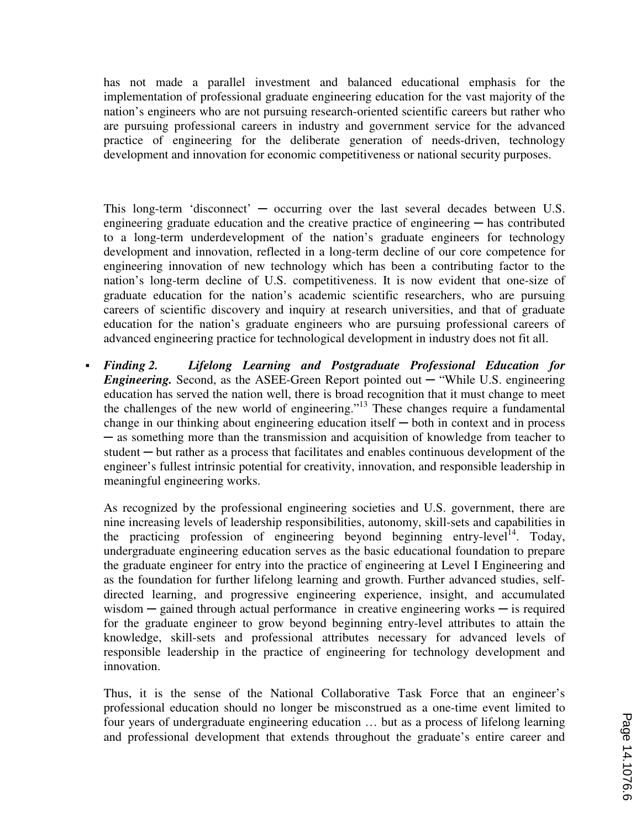has not made a parallel investment and balanced educational emphasis for the implementation of professional graduate engineering education for the vast majority of the nation's engineers who are not pursuing research-oriented scientific careers but rather who are pursuing professional careers in industry and government service for the advanced practice of engineering for the deliberate generation of needs-driven, technology development and innovation for economic competitiveness or national security purposes.

This long-term 'disconnect' — occurring over the last several decades between U.S. engineering graduate education and the creative practice of engineering  $-$  has contributed to a long-term underdevelopment of the nation's graduate engineers for technology development and innovation, reflected in a long-term decline of our core competence for engineering innovation of new technology which has been a contributing factor to the nation's long-term decline of U.S. competitiveness. It is now evident that one-size of graduate education for the nation's academic scientific researchers, who are pursuing careers of scientific discovery and inquiry at research universities, and that of graduate education for the nation's graduate engineers who are pursuing professional careers of advanced engineering practice for technological development in industry does not fit all.

§ *Finding 2. Lifelong Learning and Postgraduate Professional Education for Engineering.* Second, as the ASEE-Green Report pointed out — "While U.S. engineering education has served the nation well, there is broad recognition that it must change to meet the challenges of the new world of engineering."<sup>13</sup> These changes require a fundamental change in our thinking about engineering education itself  $-$  both in context and in process ─ as something more than the transmission and acquisition of knowledge from teacher to student ─ but rather as a process that facilitates and enables continuous development of the engineer's fullest intrinsic potential for creativity, innovation, and responsible leadership in meaningful engineering works.

As recognized by the professional engineering societies and U.S. government, there are nine increasing levels of leadership responsibilities, autonomy, skill-sets and capabilities in the practicing profession of engineering beyond beginning entry-level<sup>14</sup>. Today, undergraduate engineering education serves as the basic educational foundation to prepare the graduate engineer for entry into the practice of engineering at Level I Engineering and as the foundation for further lifelong learning and growth. Further advanced studies, selfdirected learning, and progressive engineering experience, insight, and accumulated wisdom  $-$  gained through actual performance in creative engineering works  $-$  is required for the graduate engineer to grow beyond beginning entry-level attributes to attain the knowledge, skill-sets and professional attributes necessary for advanced levels of responsible leadership in the practice of engineering for technology development and innovation.

Thus, it is the sense of the National Collaborative Task Force that an engineer's professional education should no longer be misconstrued as a one-time event limited to four years of undergraduate engineering education … but as a process of lifelong learning and professional development that extends throughout the graduate's entire career and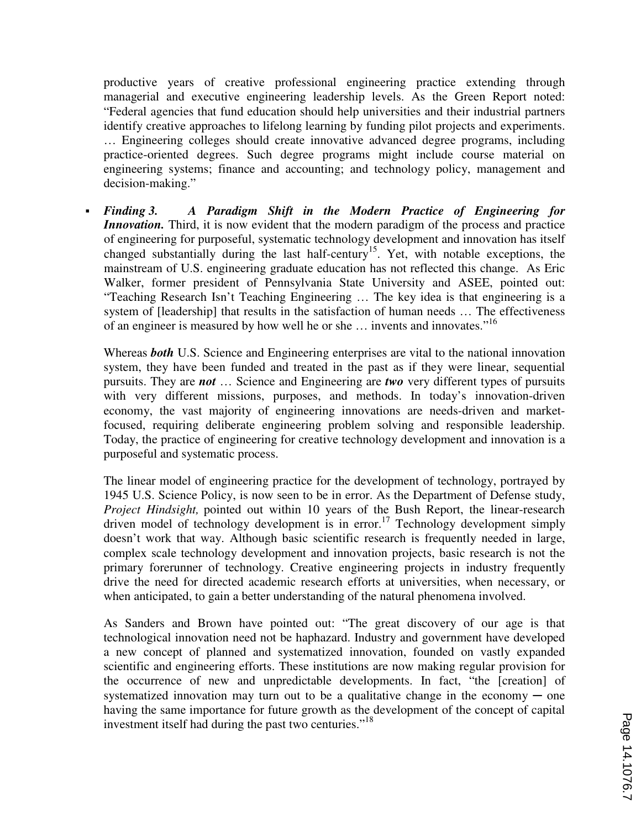productive years of creative professional engineering practice extending through managerial and executive engineering leadership levels. As the Green Report noted: "Federal agencies that fund education should help universities and their industrial partners identify creative approaches to lifelong learning by funding pilot projects and experiments. … Engineering colleges should create innovative advanced degree programs, including practice-oriented degrees. Such degree programs might include course material on engineering systems; finance and accounting; and technology policy, management and decision-making."

§ *Finding 3. A Paradigm Shift in the Modern Practice of Engineering for Innovation.* Third, it is now evident that the modern paradigm of the process and practice of engineering for purposeful, systematic technology development and innovation has itself changed substantially during the last half-century<sup>15</sup>. Yet, with notable exceptions, the mainstream of U.S. engineering graduate education has not reflected this change. As Eric Walker, former president of Pennsylvania State University and ASEE, pointed out: "Teaching Research Isn't Teaching Engineering … The key idea is that engineering is a system of [leadership] that results in the satisfaction of human needs ... The effectiveness of an engineer is measured by how well he or she ... invents and innovates."<sup>16</sup>

Whereas *both* U.S. Science and Engineering enterprises are vital to the national innovation system, they have been funded and treated in the past as if they were linear, sequential pursuits. They are *not* … Science and Engineering are *two* very different types of pursuits with very different missions, purposes, and methods. In today's innovation-driven economy, the vast majority of engineering innovations are needs-driven and marketfocused, requiring deliberate engineering problem solving and responsible leadership. Today, the practice of engineering for creative technology development and innovation is a purposeful and systematic process.

The linear model of engineering practice for the development of technology, portrayed by 1945 U.S. Science Policy, is now seen to be in error. As the Department of Defense study, *Project Hindsight,* pointed out within 10 years of the Bush Report, the linear-research driven model of technology development is in error.<sup>17</sup> Technology development simply doesn't work that way. Although basic scientific research is frequently needed in large, complex scale technology development and innovation projects, basic research is not the primary forerunner of technology. Creative engineering projects in industry frequently drive the need for directed academic research efforts at universities, when necessary, or when anticipated, to gain a better understanding of the natural phenomena involved.

As Sanders and Brown have pointed out: "The great discovery of our age is that technological innovation need not be haphazard. Industry and government have developed a new concept of planned and systematized innovation, founded on vastly expanded scientific and engineering efforts. These institutions are now making regular provision for the occurrence of new and unpredictable developments. In fact, "the [creation] of systematized innovation may turn out to be a qualitative change in the economy  $-$  one having the same importance for future growth as the development of the concept of capital investment itself had during the past two centuries."<sup>18</sup>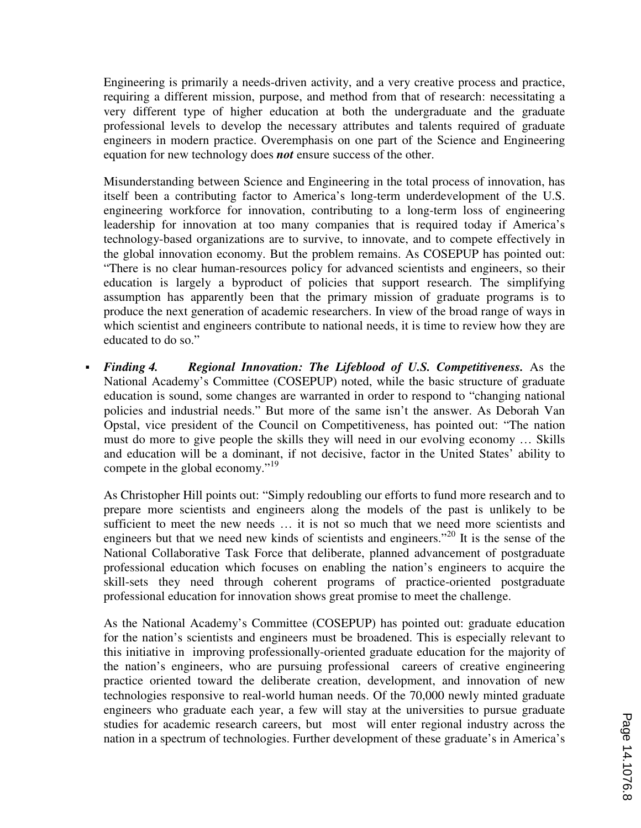Engineering is primarily a needs-driven activity, and a very creative process and practice, requiring a different mission, purpose, and method from that of research: necessitating a very different type of higher education at both the undergraduate and the graduate professional levels to develop the necessary attributes and talents required of graduate engineers in modern practice. Overemphasis on one part of the Science and Engineering equation for new technology does *not* ensure success of the other.

Misunderstanding between Science and Engineering in the total process of innovation, has itself been a contributing factor to America's long-term underdevelopment of the U.S. engineering workforce for innovation, contributing to a long-term loss of engineering leadership for innovation at too many companies that is required today if America's technology-based organizations are to survive, to innovate, and to compete effectively in the global innovation economy. But the problem remains. As COSEPUP has pointed out: "There is no clear human-resources policy for advanced scientists and engineers, so their education is largely a byproduct of policies that support research. The simplifying assumption has apparently been that the primary mission of graduate programs is to produce the next generation of academic researchers. In view of the broad range of ways in which scientist and engineers contribute to national needs, it is time to review how they are educated to do so."

§ *Finding 4. Regional Innovation: The Lifeblood of U.S. Competitiveness.* As the National Academy's Committee (COSEPUP) noted, while the basic structure of graduate education is sound, some changes are warranted in order to respond to "changing national policies and industrial needs." But more of the same isn't the answer. As Deborah Van Opstal, vice president of the Council on Competitiveness, has pointed out: "The nation must do more to give people the skills they will need in our evolving economy … Skills and education will be a dominant, if not decisive, factor in the United States' ability to compete in the global economy."<sup>19</sup>

As Christopher Hill points out: "Simply redoubling our efforts to fund more research and to prepare more scientists and engineers along the models of the past is unlikely to be sufficient to meet the new needs ... it is not so much that we need more scientists and engineers but that we need new kinds of scientists and engineers."<sup>20</sup> It is the sense of the National Collaborative Task Force that deliberate, planned advancement of postgraduate professional education which focuses on enabling the nation's engineers to acquire the skill-sets they need through coherent programs of practice-oriented postgraduate professional education for innovation shows great promise to meet the challenge.

As the National Academy's Committee (COSEPUP) has pointed out: graduate education for the nation's scientists and engineers must be broadened. This is especially relevant to this initiative in improving professionally-oriented graduate education for the majority of the nation's engineers, who are pursuing professional careers of creative engineering practice oriented toward the deliberate creation, development, and innovation of new technologies responsive to real-world human needs. Of the 70,000 newly minted graduate engineers who graduate each year, a few will stay at the universities to pursue graduate studies for academic research careers, but most will enter regional industry across the nation in a spectrum of technologies. Further development of these graduate's in America's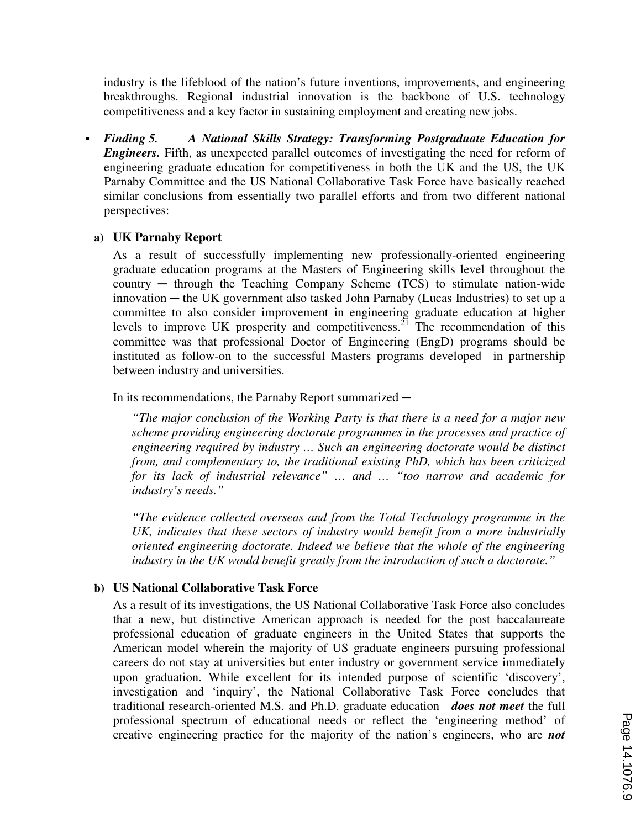industry is the lifeblood of the nation's future inventions, improvements, and engineering breakthroughs. Regional industrial innovation is the backbone of U.S. technology competitiveness and a key factor in sustaining employment and creating new jobs.

§ *Finding 5. A National Skills Strategy: Transforming Postgraduate Education for* **Engineers.** Fifth, as unexpected parallel outcomes of investigating the need for reform of engineering graduate education for competitiveness in both the UK and the US, the UK Parnaby Committee and the US National Collaborative Task Force have basically reached similar conclusions from essentially two parallel efforts and from two different national perspectives:

#### **a) UK Parnaby Report**

As a result of successfully implementing new professionally-oriented engineering graduate education programs at the Masters of Engineering skills level throughout the  $country - through the Teaching Company Scheme (TCS) to stimulate nation-wide$  $innovation - the UK government also asked John Parnaby (Lucas Industries) to set up a$ committee to also consider improvement in engineering graduate education at higher levels to improve UK prosperity and competitiveness.<sup>21</sup> The recommendation of this committee was that professional Doctor of Engineering (EngD) programs should be instituted as follow-on to the successful Masters programs developed in partnership between industry and universities.

In its recommendations, the Parnaby Report summarized *─* 

*"The major conclusion of the Working Party is that there is a need for a major new scheme providing engineering doctorate programmes in the processes and practice of engineering required by industry … Such an engineering doctorate would be distinct from, and complementary to, the traditional existing PhD, which has been criticized for its lack of industrial relevance" … and … "too narrow and academic for industry's needs."*

*"The evidence collected overseas and from the Total Technology programme in the UK, indicates that these sectors of industry would benefit from a more industrially oriented engineering doctorate. Indeed we believe that the whole of the engineering industry in the UK would benefit greatly from the introduction of such a doctorate."* 

### **b) US National Collaborative Task Force**

As a result of its investigations, the US National Collaborative Task Force also concludes that a new, but distinctive American approach is needed for the post baccalaureate professional education of graduate engineers in the United States that supports the American model wherein the majority of US graduate engineers pursuing professional careers do not stay at universities but enter industry or government service immediately upon graduation. While excellent for its intended purpose of scientific 'discovery', investigation and 'inquiry', the National Collaborative Task Force concludes that traditional research-oriented M.S. and Ph.D. graduate education *does not meet* the full professional spectrum of educational needs or reflect the 'engineering method' of creative engineering practice for the majority of the nation's engineers, who are *not*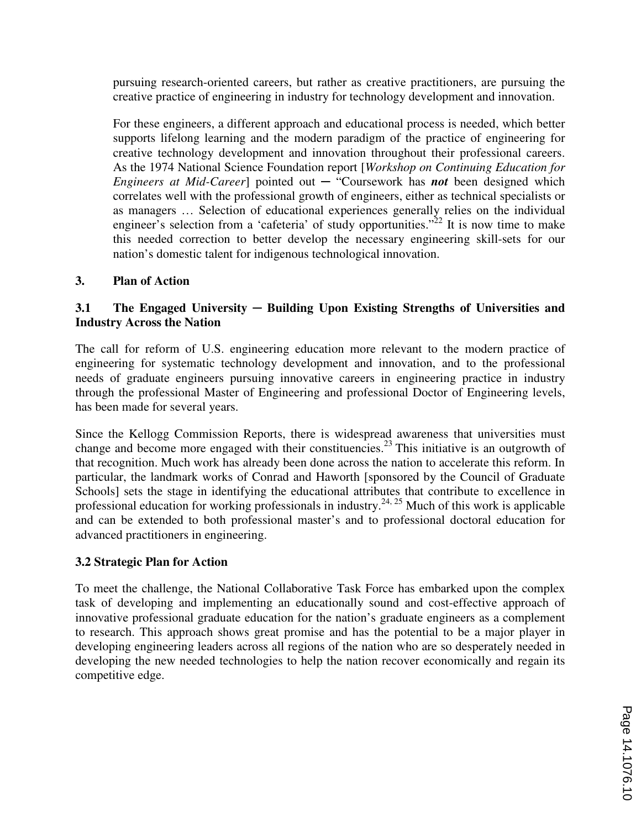pursuing research-oriented careers, but rather as creative practitioners, are pursuing the creative practice of engineering in industry for technology development and innovation.

For these engineers, a different approach and educational process is needed, which better supports lifelong learning and the modern paradigm of the practice of engineering for creative technology development and innovation throughout their professional careers. As the 1974 National Science Foundation report [*Workshop on Continuing Education for Engineers at Mid-Career*] pointed out ─ "Coursework has *not* been designed which correlates well with the professional growth of engineers, either as technical specialists or as managers … Selection of educational experiences generally relies on the individual engineer's selection from a 'cafeteria' of study opportunities."<sup>22</sup> It is now time to make this needed correction to better develop the necessary engineering skill-sets for our nation's domestic talent for indigenous technological innovation.

## **3. Plan of Action**

## **3.1 The Engaged University ─ Building Upon Existing Strengths of Universities and Industry Across the Nation**

The call for reform of U.S. engineering education more relevant to the modern practice of engineering for systematic technology development and innovation, and to the professional needs of graduate engineers pursuing innovative careers in engineering practice in industry through the professional Master of Engineering and professional Doctor of Engineering levels, has been made for several years.

Since the Kellogg Commission Reports, there is widespread awareness that universities must change and become more engaged with their constituencies.<sup>23</sup> This initiative is an outgrowth of that recognition. Much work has already been done across the nation to accelerate this reform. In particular, the landmark works of Conrad and Haworth [sponsored by the Council of Graduate Schools] sets the stage in identifying the educational attributes that contribute to excellence in professional education for working professionals in industry.<sup>24, 25</sup> Much of this work is applicable and can be extended to both professional master's and to professional doctoral education for advanced practitioners in engineering.

## **3.2 Strategic Plan for Action**

To meet the challenge, the National Collaborative Task Force has embarked upon the complex task of developing and implementing an educationally sound and cost-effective approach of innovative professional graduate education for the nation's graduate engineers as a complement to research. This approach shows great promise and has the potential to be a major player in developing engineering leaders across all regions of the nation who are so desperately needed in developing the new needed technologies to help the nation recover economically and regain its competitive edge.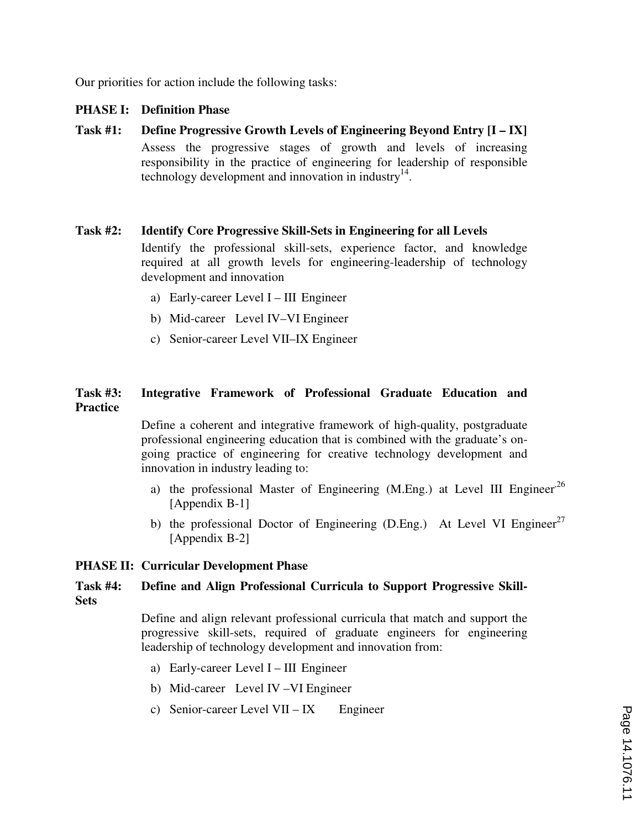Our priorities for action include the following tasks:

#### **PHASE I: Definition Phase**

**Task #1: Define Progressive Growth Levels of Engineering Beyond Entry [I – IX]**  Assess the progressive stages of growth and levels of increasing responsibility in the practice of engineering for leadership of responsible technology development and innovation in industry<sup>14</sup>.

#### **Task #2: Identify Core Progressive Skill-Sets in Engineering for all Levels**

Identify the professional skill-sets, experience factor, and knowledge required at all growth levels for engineering-leadership of technology development and innovation

- a) Early-career Level I III Engineer
- b) Mid-career Level IV–VI Engineer
- c) Senior-career Level VII–IX Engineer

### **Task #3: Integrative Framework of Professional Graduate Education and Practice**

Define a coherent and integrative framework of high-quality, postgraduate professional engineering education that is combined with the graduate's ongoing practice of engineering for creative technology development and innovation in industry leading to:

- a) the professional Master of Engineering (M.Eng.) at Level III Engineer<sup>-26</sup> [Appendix B-1]
- b) the professional Doctor of Engineering (D.Eng.) At Level VI Engineer<sup>27</sup> [Appendix B-2]

### **PHASE II: Curricular Development Phase**

### **Task #4: Define and Align Professional Curricula to Support Progressive Skill-Sets**

 Define and align relevant professional curricula that match and support the progressive skill-sets, required of graduate engineers for engineering leadership of technology development and innovation from:

- a) Early-career Level I III Engineer
- b) Mid-career Level IV –VI Engineer
- c) Senior-career Level VII IX Engineer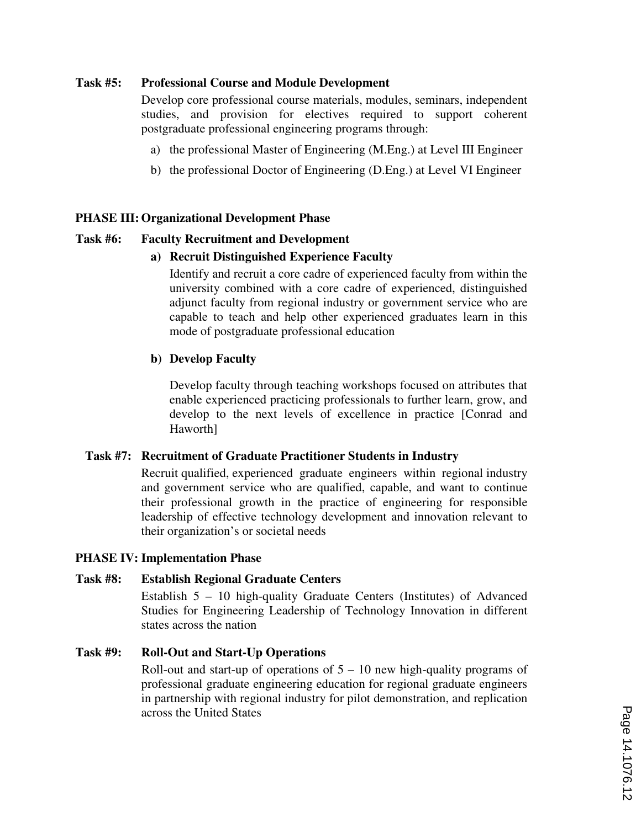#### **Task #5: Professional Course and Module Development**

 Develop core professional course materials, modules, seminars, independent studies, and provision for electives required to support coherent postgraduate professional engineering programs through:

- a) the professional Master of Engineering (M.Eng.) at Level III Engineer
- b) the professional Doctor of Engineering (D.Eng.) at Level VI Engineer

#### **PHASE III: Organizational Development Phase**

#### **Task #6: Faculty Recruitment and Development**

#### **a) Recruit Distinguished Experience Faculty**

Identify and recruit a core cadre of experienced faculty from within the university combined with a core cadre of experienced, distinguished adjunct faculty from regional industry or government service who are capable to teach and help other experienced graduates learn in this mode of postgraduate professional education

#### **b) Develop Faculty**

Develop faculty through teaching workshops focused on attributes that enable experienced practicing professionals to further learn, grow, and develop to the next levels of excellence in practice [Conrad and Haworth]

#### **Task #7: Recruitment of Graduate Practitioner Students in Industry**

Recruit qualified, experienced graduate engineers within regional industry and government service who are qualified, capable, and want to continue their professional growth in the practice of engineering for responsible leadership of effective technology development and innovation relevant to their organization's or societal needs

#### **PHASE IV: Implementation Phase**

#### **Task #8: Establish Regional Graduate Centers**

Establish 5 – 10 high-quality Graduate Centers (Institutes) of Advanced Studies for Engineering Leadership of Technology Innovation in different states across the nation

#### **Task #9: Roll-Out and Start-Up Operations**

Roll-out and start-up of operations of  $5 - 10$  new high-quality programs of professional graduate engineering education for regional graduate engineers in partnership with regional industry for pilot demonstration, and replication across the United States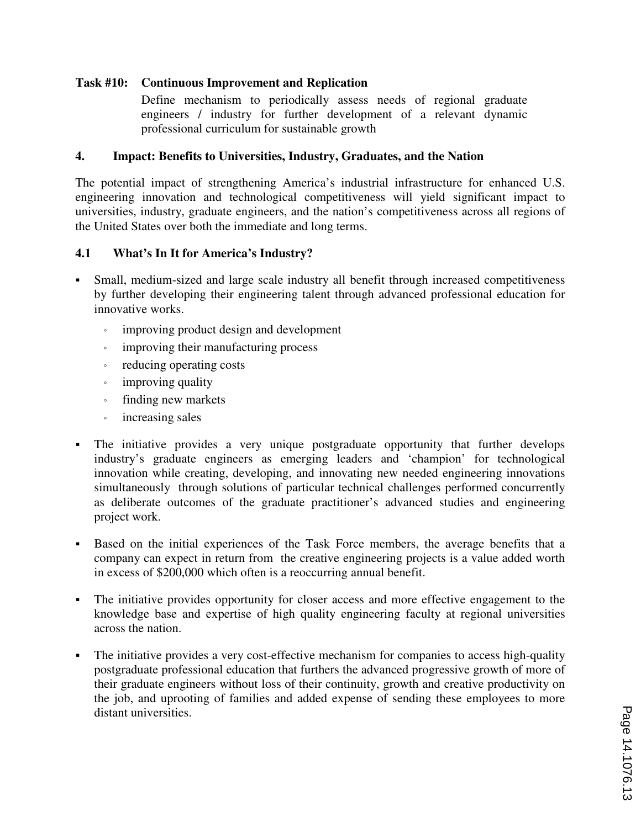#### **Task #10: Continuous Improvement and Replication**

Define mechanism to periodically assess needs of regional graduate engineers / industry for further development of a relevant dynamic professional curriculum for sustainable growth

#### **4. Impact: Benefits to Universities, Industry, Graduates, and the Nation**

The potential impact of strengthening America's industrial infrastructure for enhanced U.S. engineering innovation and technological competitiveness will yield significant impact to universities, industry, graduate engineers, and the nation's competitiveness across all regions of the United States over both the immediate and long terms.

#### **4.1 What's In It for America's Industry?**

- § Small, medium-sized and large scale industry all benefit through increased competitiveness by further developing their engineering talent through advanced professional education for innovative works.
	- improving product design and development
	- improving their manufacturing process
	- reducing operating costs
	- improving quality
	- finding new markets
	- increasing sales
- The initiative provides a very unique postgraduate opportunity that further develops industry's graduate engineers as emerging leaders and 'champion' for technological innovation while creating, developing, and innovating new needed engineering innovations simultaneously through solutions of particular technical challenges performed concurrently as deliberate outcomes of the graduate practitioner's advanced studies and engineering project work.
- Based on the initial experiences of the Task Force members, the average benefits that a company can expect in return from the creative engineering projects is a value added worth in excess of \$200,000 which often is a reoccurring annual benefit.
- The initiative provides opportunity for closer access and more effective engagement to the knowledge base and expertise of high quality engineering faculty at regional universities across the nation.
- The initiative provides a very cost-effective mechanism for companies to access high-quality postgraduate professional education that furthers the advanced progressive growth of more of their graduate engineers without loss of their continuity, growth and creative productivity on the job, and uprooting of families and added expense of sending these employees to more distant universities.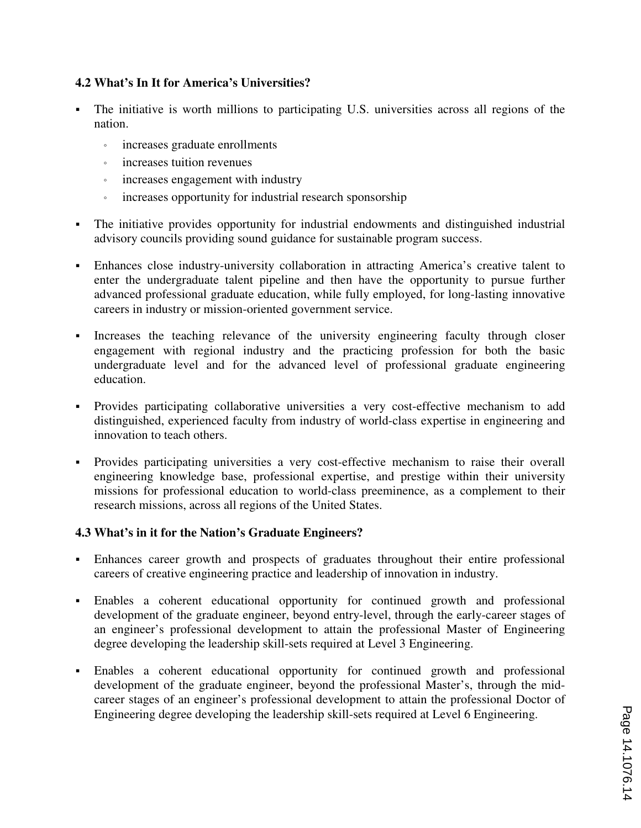### **4.2 What's In It for America's Universities?**

- The initiative is worth millions to participating U.S. universities across all regions of the nation.
	- increases graduate enrollments
	- increases tuition revenues
	- increases engagement with industry
	- increases opportunity for industrial research sponsorship
- The initiative provides opportunity for industrial endowments and distinguished industrial advisory councils providing sound guidance for sustainable program success.
- Enhances close industry-university collaboration in attracting America's creative talent to enter the undergraduate talent pipeline and then have the opportunity to pursue further advanced professional graduate education, while fully employed, for long-lasting innovative careers in industry or mission-oriented government service.
- Increases the teaching relevance of the university engineering faculty through closer engagement with regional industry and the practicing profession for both the basic undergraduate level and for the advanced level of professional graduate engineering education.
- § Provides participating collaborative universities a very cost-effective mechanism to add distinguished, experienced faculty from industry of world-class expertise in engineering and innovation to teach others.
- § Provides participating universities a very cost-effective mechanism to raise their overall engineering knowledge base, professional expertise, and prestige within their university missions for professional education to world-class preeminence, as a complement to their research missions, across all regions of the United States.

### **4.3 What's in it for the Nation's Graduate Engineers?**

- Enhances career growth and prospects of graduates throughout their entire professional careers of creative engineering practice and leadership of innovation in industry.
- § Enables a coherent educational opportunity for continued growth and professional development of the graduate engineer, beyond entry-level, through the early-career stages of an engineer's professional development to attain the professional Master of Engineering degree developing the leadership skill-sets required at Level 3 Engineering.
- Enables a coherent educational opportunity for continued growth and professional development of the graduate engineer, beyond the professional Master's, through the midcareer stages of an engineer's professional development to attain the professional Doctor of Engineering degree developing the leadership skill-sets required at Level 6 Engineering.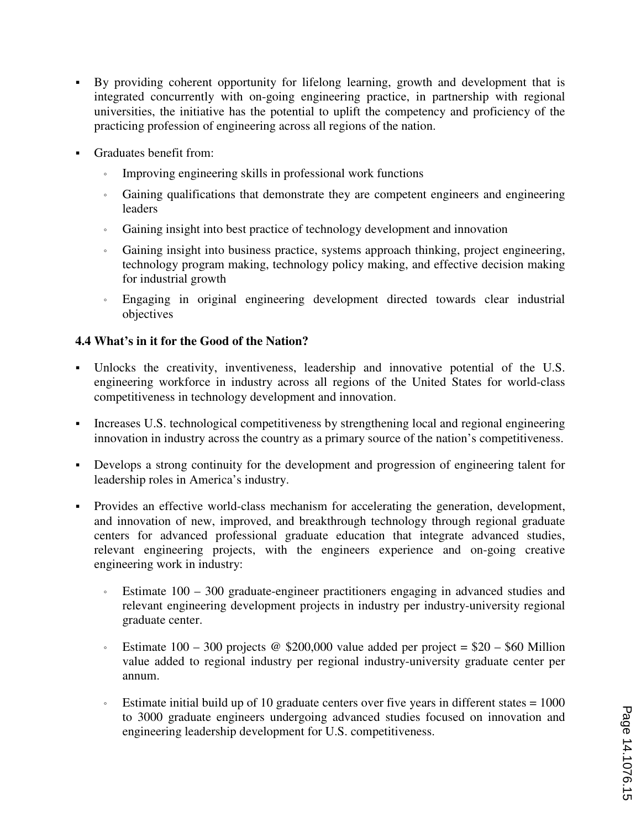- By providing coherent opportunity for lifelong learning, growth and development that is integrated concurrently with on-going engineering practice, in partnership with regional universities, the initiative has the potential to uplift the competency and proficiency of the practicing profession of engineering across all regions of the nation.
- § Graduates benefit from:
	- Improving engineering skills in professional work functions
	- Gaining qualifications that demonstrate they are competent engineers and engineering leaders
	- Gaining insight into best practice of technology development and innovation
	- Gaining insight into business practice, systems approach thinking, project engineering, technology program making, technology policy making, and effective decision making for industrial growth
	- Engaging in original engineering development directed towards clear industrial objectives

## **4.4 What's in it for the Good of the Nation?**

- Unlocks the creativity, inventiveness, leadership and innovative potential of the U.S. engineering workforce in industry across all regions of the United States for world-class competitiveness in technology development and innovation.
- § Increases U.S. technological competitiveness by strengthening local and regional engineering innovation in industry across the country as a primary source of the nation's competitiveness.
- Develops a strong continuity for the development and progression of engineering talent for leadership roles in America's industry.
- § Provides an effective world-class mechanism for accelerating the generation, development, and innovation of new, improved, and breakthrough technology through regional graduate centers for advanced professional graduate education that integrate advanced studies, relevant engineering projects, with the engineers experience and on-going creative engineering work in industry:
	- Estimate 100 300 graduate-engineer practitioners engaging in advanced studies and relevant engineering development projects in industry per industry-university regional graduate center.
	- Estimate  $100 300$  projects @ \$200,000 value added per project = \$20 \$60 Million value added to regional industry per regional industry-university graduate center per annum.
	- Estimate initial build up of 10 graduate centers over five years in different states = 1000 to 3000 graduate engineers undergoing advanced studies focused on innovation and engineering leadership development for U.S. competitiveness.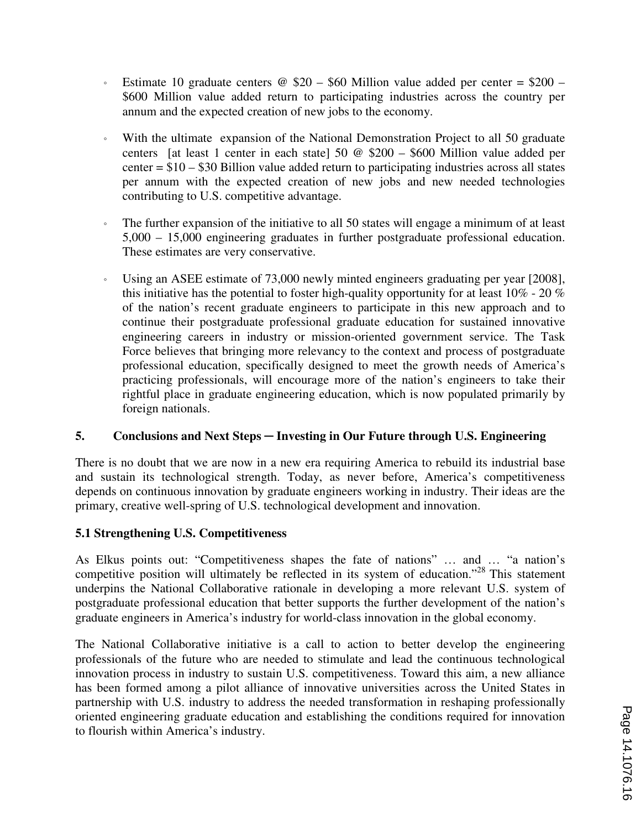- Estimate 10 graduate centers  $\omega$  \$20 \$60 Million value added per center = \$200 \$600 Million value added return to participating industries across the country per annum and the expected creation of new jobs to the economy.
- With the ultimate expansion of the National Demonstration Project to all 50 graduate centers [at least 1 center in each state] 50 @ \$200 – \$600 Million value added per center = \$10 – \$30 Billion value added return to participating industries across all states per annum with the expected creation of new jobs and new needed technologies contributing to U.S. competitive advantage.
- The further expansion of the initiative to all 50 states will engage a minimum of at least 5,000 – 15,000 engineering graduates in further postgraduate professional education. These estimates are very conservative.
- Using an ASEE estimate of 73,000 newly minted engineers graduating per year [2008], this initiative has the potential to foster high-quality opportunity for at least  $10\%$  - 20 % of the nation's recent graduate engineers to participate in this new approach and to continue their postgraduate professional graduate education for sustained innovative engineering careers in industry or mission-oriented government service. The Task Force believes that bringing more relevancy to the context and process of postgraduate professional education, specifically designed to meet the growth needs of America's practicing professionals, will encourage more of the nation's engineers to take their rightful place in graduate engineering education, which is now populated primarily by foreign nationals.

### **5. Conclusions and Next Steps ─ Investing in Our Future through U.S. Engineering**

There is no doubt that we are now in a new era requiring America to rebuild its industrial base and sustain its technological strength. Today, as never before, America's competitiveness depends on continuous innovation by graduate engineers working in industry. Their ideas are the primary, creative well-spring of U.S. technological development and innovation.

## **5.1 Strengthening U.S. Competitiveness**

As Elkus points out: "Competitiveness shapes the fate of nations" ... and ... "a nation's competitive position will ultimately be reflected in its system of education."<sup>28</sup> This statement underpins the National Collaborative rationale in developing a more relevant U.S. system of postgraduate professional education that better supports the further development of the nation's graduate engineers in America's industry for world-class innovation in the global economy.

The National Collaborative initiative is a call to action to better develop the engineering professionals of the future who are needed to stimulate and lead the continuous technological innovation process in industry to sustain U.S. competitiveness. Toward this aim, a new alliance has been formed among a pilot alliance of innovative universities across the United States in partnership with U.S. industry to address the needed transformation in reshaping professionally oriented engineering graduate education and establishing the conditions required for innovation to flourish within America's industry.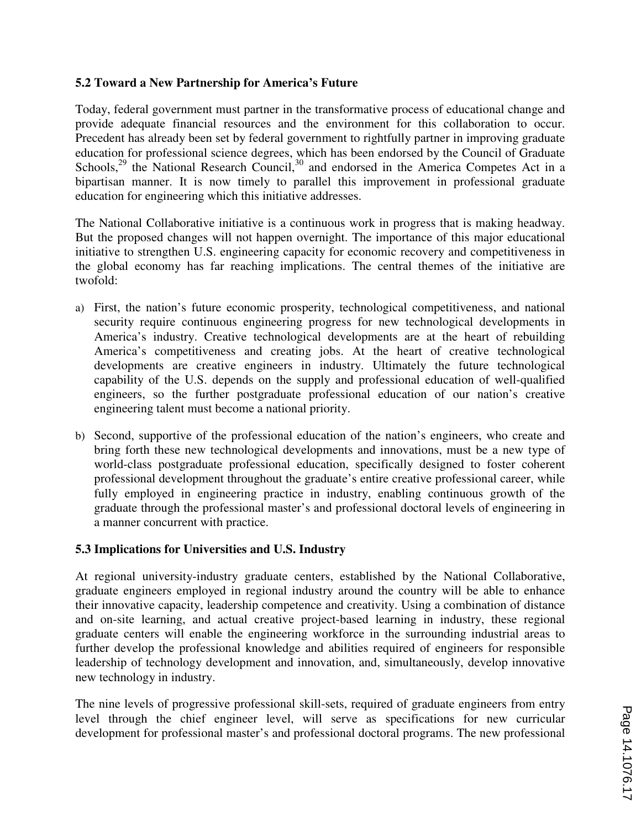#### **5.2 Toward a New Partnership for America's Future**

Today, federal government must partner in the transformative process of educational change and provide adequate financial resources and the environment for this collaboration to occur. Precedent has already been set by federal government to rightfully partner in improving graduate education for professional science degrees, which has been endorsed by the Council of Graduate Schools,<sup>29</sup> the National Research Council,<sup>30</sup> and endorsed in the America Competes Act in a bipartisan manner. It is now timely to parallel this improvement in professional graduate education for engineering which this initiative addresses.

The National Collaborative initiative is a continuous work in progress that is making headway. But the proposed changes will not happen overnight. The importance of this major educational initiative to strengthen U.S. engineering capacity for economic recovery and competitiveness in the global economy has far reaching implications. The central themes of the initiative are twofold:

- a) First, the nation's future economic prosperity, technological competitiveness, and national security require continuous engineering progress for new technological developments in America's industry. Creative technological developments are at the heart of rebuilding America's competitiveness and creating jobs. At the heart of creative technological developments are creative engineers in industry. Ultimately the future technological capability of the U.S. depends on the supply and professional education of well-qualified engineers, so the further postgraduate professional education of our nation's creative engineering talent must become a national priority.
- b) Second, supportive of the professional education of the nation's engineers, who create and bring forth these new technological developments and innovations, must be a new type of world-class postgraduate professional education, specifically designed to foster coherent professional development throughout the graduate's entire creative professional career, while fully employed in engineering practice in industry, enabling continuous growth of the graduate through the professional master's and professional doctoral levels of engineering in a manner concurrent with practice.

#### **5.3 Implications for Universities and U.S. Industry**

At regional university-industry graduate centers, established by the National Collaborative, graduate engineers employed in regional industry around the country will be able to enhance their innovative capacity, leadership competence and creativity. Using a combination of distance and on-site learning, and actual creative project-based learning in industry, these regional graduate centers will enable the engineering workforce in the surrounding industrial areas to further develop the professional knowledge and abilities required of engineers for responsible leadership of technology development and innovation, and, simultaneously, develop innovative new technology in industry.

The nine levels of progressive professional skill-sets, required of graduate engineers from entry level through the chief engineer level, will serve as specifications for new curricular development for professional master's and professional doctoral programs. The new professional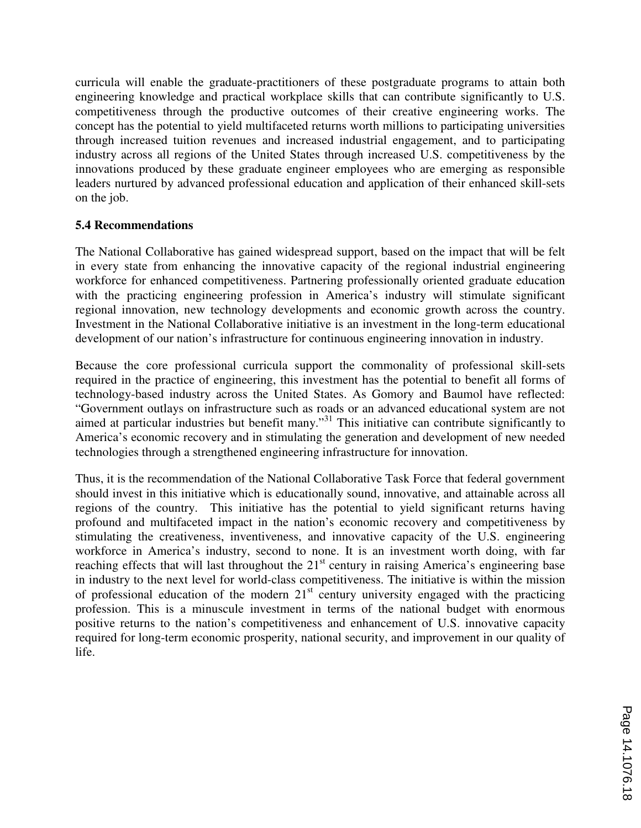curricula will enable the graduate-practitioners of these postgraduate programs to attain both engineering knowledge and practical workplace skills that can contribute significantly to U.S. competitiveness through the productive outcomes of their creative engineering works. The concept has the potential to yield multifaceted returns worth millions to participating universities through increased tuition revenues and increased industrial engagement, and to participating industry across all regions of the United States through increased U.S. competitiveness by the innovations produced by these graduate engineer employees who are emerging as responsible leaders nurtured by advanced professional education and application of their enhanced skill-sets on the job.

### **5.4 Recommendations**

The National Collaborative has gained widespread support, based on the impact that will be felt in every state from enhancing the innovative capacity of the regional industrial engineering workforce for enhanced competitiveness. Partnering professionally oriented graduate education with the practicing engineering profession in America's industry will stimulate significant regional innovation, new technology developments and economic growth across the country. Investment in the National Collaborative initiative is an investment in the long-term educational development of our nation's infrastructure for continuous engineering innovation in industry.

Because the core professional curricula support the commonality of professional skill-sets required in the practice of engineering, this investment has the potential to benefit all forms of technology-based industry across the United States. As Gomory and Baumol have reflected: "Government outlays on infrastructure such as roads or an advanced educational system are not aimed at particular industries but benefit many."<sup>31</sup> This initiative can contribute significantly to America's economic recovery and in stimulating the generation and development of new needed technologies through a strengthened engineering infrastructure for innovation.

Thus, it is the recommendation of the National Collaborative Task Force that federal government should invest in this initiative which is educationally sound, innovative, and attainable across all regions of the country. This initiative has the potential to yield significant returns having profound and multifaceted impact in the nation's economic recovery and competitiveness by stimulating the creativeness, inventiveness, and innovative capacity of the U.S. engineering workforce in America's industry, second to none. It is an investment worth doing, with far reaching effects that will last throughout the  $21<sup>st</sup>$  century in raising America's engineering base in industry to the next level for world-class competitiveness. The initiative is within the mission of professional education of the modern  $21<sup>st</sup>$  century university engaged with the practicing profession. This is a minuscule investment in terms of the national budget with enormous positive returns to the nation's competitiveness and enhancement of U.S. innovative capacity required for long-term economic prosperity, national security, and improvement in our quality of life.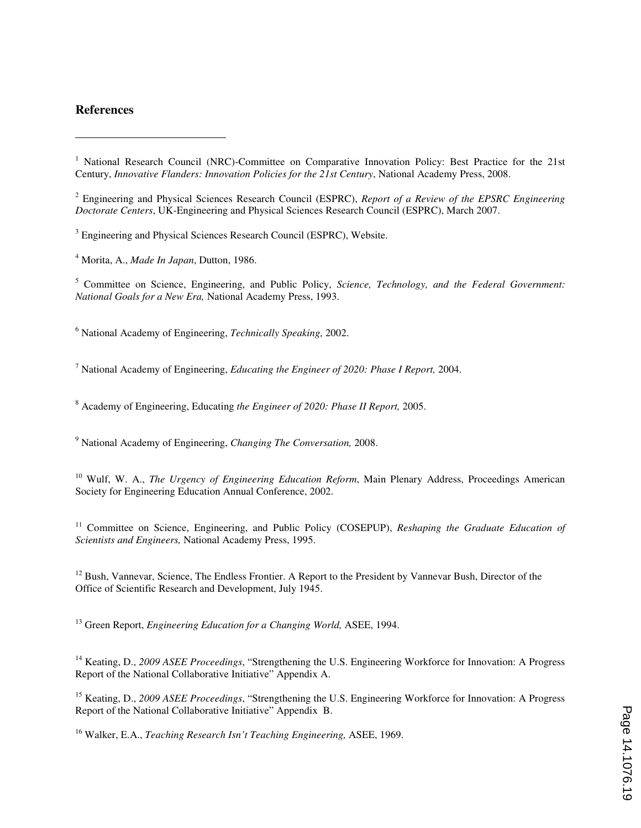#### **References**

 $\overline{a}$ 

2 Engineering and Physical Sciences Research Council (ESPRC), *Report of a Review of the EPSRC Engineering Doctorate Centers*, UK-Engineering and Physical Sciences Research Council (ESPRC), March 2007.

<sup>3</sup> Engineering and Physical Sciences Research Council (ESPRC), Website.

4 Morita, A., *Made In Japan*, Dutton, 1986.

5 Committee on Science, Engineering, and Public Policy, *Science, Technology, and the Federal Government: National Goals for a New Era,* National Academy Press, 1993.

6 National Academy of Engineering, *Technically Speaking,* 2002.

7 National Academy of Engineering, *Educating the Engineer of 2020: Phase I Report,* 2004.

8 Academy of Engineering, Educating *the Engineer of 2020: Phase II Report,* 2005.

9 National Academy of Engineering, *Changing The Conversation,* 2008.

<sup>10</sup> Wulf, W. A., *The Urgency of Engineering Education Reform*, Main Plenary Address, Proceedings American Society for Engineering Education Annual Conference, 2002.

<sup>11</sup> Committee on Science, Engineering, and Public Policy (COSEPUP), *Reshaping the Graduate Education of Scientists and Engineers,* National Academy Press, 1995.

<sup>12</sup> Bush, Vannevar, Science, The Endless Frontier. A Report to the President by Vannevar Bush, Director of the Office of Scientific Research and Development, July 1945.

<sup>13</sup> Green Report, *Engineering Education for a Changing World*, ASEE, 1994.

<sup>14</sup> Keating, D., *2009 ASEE Proceedings*, "Strengthening the U.S. Engineering Workforce for Innovation: A Progress Report of the National Collaborative Initiative" Appendix A.

<sup>15</sup> Keating, D., *2009 ASEE Proceedings*, "Strengthening the U.S. Engineering Workforce for Innovation: A Progress Report of the National Collaborative Initiative" Appendix B.

<sup>16</sup> Walker, E.A., *Teaching Research Isn't Teaching Engineering*, ASEE, 1969.

<sup>&</sup>lt;sup>1</sup> National Research Council (NRC)-Committee on Comparative Innovation Policy: Best Practice for the 21st Century, *Innovative Flanders: Innovation Policies for the 21st Century*, National Academy Press, 2008.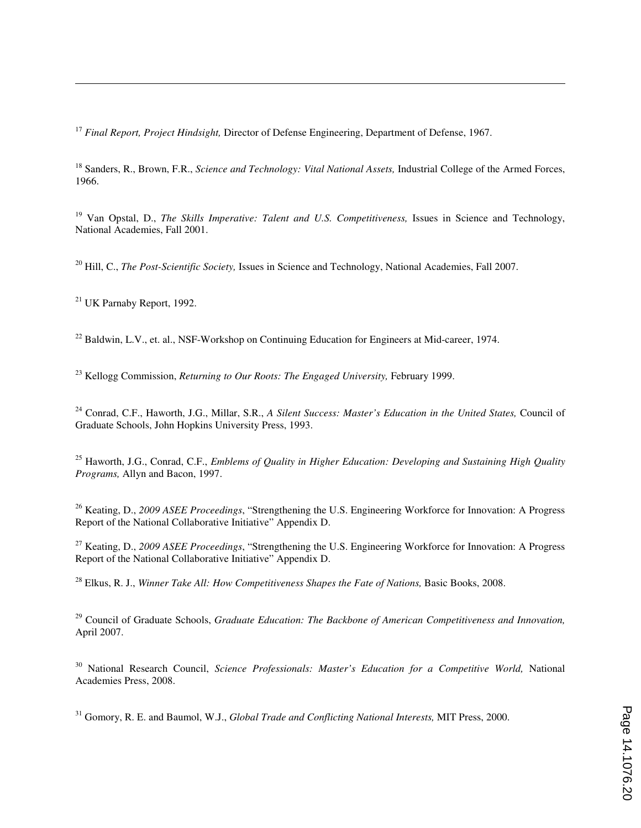<sup>17</sup> *Final Report, Project Hindsight, Director of Defense Engineering, Department of Defense, 1967.* 

<sup>18</sup> Sanders, R., Brown, F.R., *Science and Technology: Vital National Assets*, Industrial College of the Armed Forces, 1966.

<sup>19</sup> Van Opstal, D., *The Skills Imperative: Talent and U.S. Competitiveness,* Issues in Science and Technology, National Academies, Fall 2001.

<sup>20</sup> Hill, C., *The Post-Scientific Society,* Issues in Science and Technology, National Academies, Fall 2007.

<sup>21</sup> UK Parnaby Report, 1992.

 $\overline{a}$ 

 $^{22}$  Baldwin, L.V., et. al., NSF-Workshop on Continuing Education for Engineers at Mid-career, 1974.

<sup>23</sup> Kellogg Commission, *Returning to Our Roots: The Engaged University*, February 1999.

<sup>24</sup> Conrad, C.F., Haworth, J.G., Millar, S.R., *A Silent Success: Master's Education in the United States, Council of* Graduate Schools, John Hopkins University Press, 1993.

<sup>25</sup> Haworth, J.G., Conrad, C.F., *Emblems of Quality in Higher Education: Developing and Sustaining High Quality Programs,* Allyn and Bacon, 1997.

<sup>26</sup> Keating, D., *2009 ASEE Proceedings*, "Strengthening the U.S. Engineering Workforce for Innovation: A Progress Report of the National Collaborative Initiative" Appendix D.

<sup>27</sup> Keating, D., *2009 ASEE Proceedings*, "Strengthening the U.S. Engineering Workforce for Innovation: A Progress Report of the National Collaborative Initiative" Appendix D.

<sup>28</sup> Elkus, R. J., *Winner Take All: How Competitiveness Shapes the Fate of Nations,* Basic Books, 2008.

<sup>29</sup> Council of Graduate Schools, *Graduate Education: The Backbone of American Competitiveness and Innovation*, April 2007.

<sup>30</sup> National Research Council, *Science Professionals: Master's Education for a Competitive World,* National Academies Press, 2008.

<sup>31</sup> Gomory, R. E. and Baumol, W.J., *Global Trade and Conflicting National Interests,* MIT Press, 2000.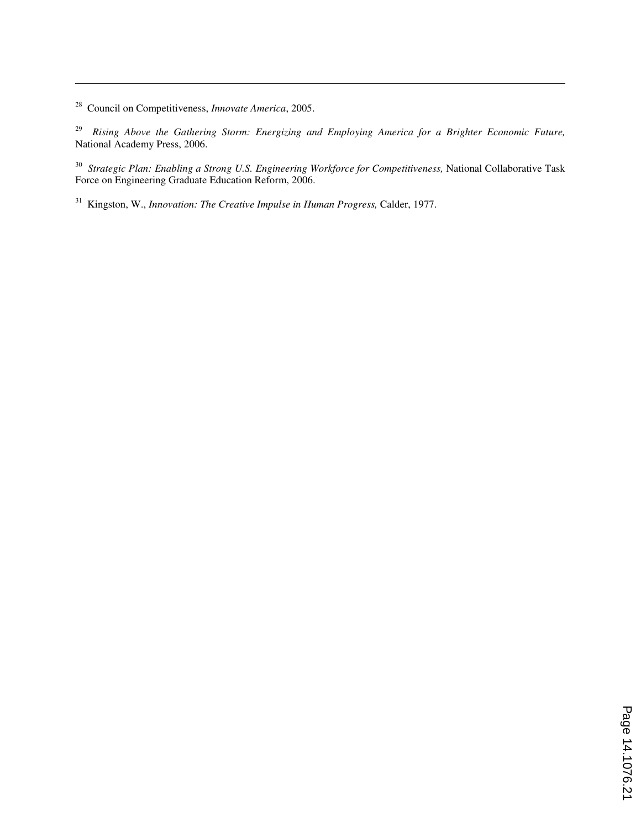<sup>28</sup> Council on Competitiveness, *Innovate America*, 2005.

 $\overline{a}$ 

29 *Rising Above the Gathering Storm: Energizing and Employing America for a Brighter Economic Future,*  National Academy Press, 2006.

<sup>30</sup> Strategic Plan: Enabling a Strong U.S. Engineering Workforce for Competitiveness, National Collaborative Task Force on Engineering Graduate Education Reform, 2006.

<sup>31</sup> Kingston, W., *Innovation: The Creative Impulse in Human Progress,* Calder, 1977.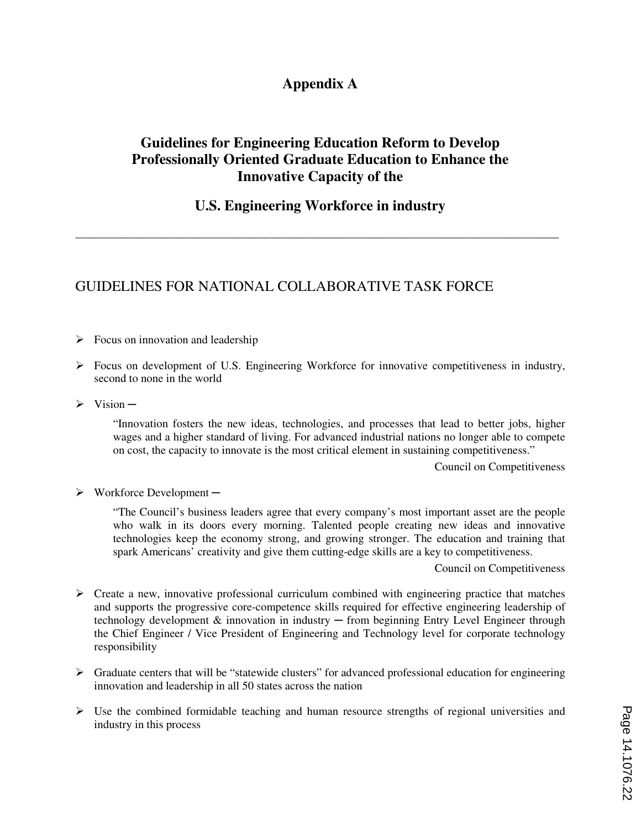## **Appendix A**

## **Guidelines for Engineering Education Reform to Develop Professionally Oriented Graduate Education to Enhance the Innovative Capacity of the**

## **U.S. Engineering Workforce in industry**

\_\_\_\_\_\_\_\_\_\_\_\_\_\_\_\_\_\_\_\_\_\_\_\_\_\_\_\_\_\_\_\_\_\_\_\_\_\_\_\_\_\_\_\_\_\_\_\_\_\_\_\_\_\_\_\_\_\_\_\_\_\_\_\_\_\_\_\_\_\_\_\_\_\_\_\_\_\_\_\_\_\_\_\_

## GUIDELINES FOR NATIONAL COLLABORATIVE TASK FORCE

- $\triangleright$  Focus on innovation and leadership
- $\triangleright$  Focus on development of U.S. Engineering Workforce for innovative competitiveness in industry, second to none in the world
- $\triangleright$  Vision —

"Innovation fosters the new ideas, technologies, and processes that lead to better jobs, higher wages and a higher standard of living. For advanced industrial nations no longer able to compete on cost, the capacity to innovate is the most critical element in sustaining competitiveness."

Council on Competitiveness

Ø Workforce Development ─

"The Council's business leaders agree that every company's most important asset are the people who walk in its doors every morning. Talented people creating new ideas and innovative technologies keep the economy strong, and growing stronger. The education and training that spark Americans' creativity and give them cutting-edge skills are a key to competitiveness.

Council on Competitiveness

- $\triangleright$  Create a new, innovative professional curriculum combined with engineering practice that matches and supports the progressive core-competence skills required for effective engineering leadership of technology development & innovation in industry ─ from beginning Entry Level Engineer through the Chief Engineer / Vice President of Engineering and Technology level for corporate technology responsibility
- $\triangleright$  Graduate centers that will be "statewide clusters" for advanced professional education for engineering innovation and leadership in all 50 states across the nation
- $\triangleright$  Use the combined formidable teaching and human resource strengths of regional universities and industry in this process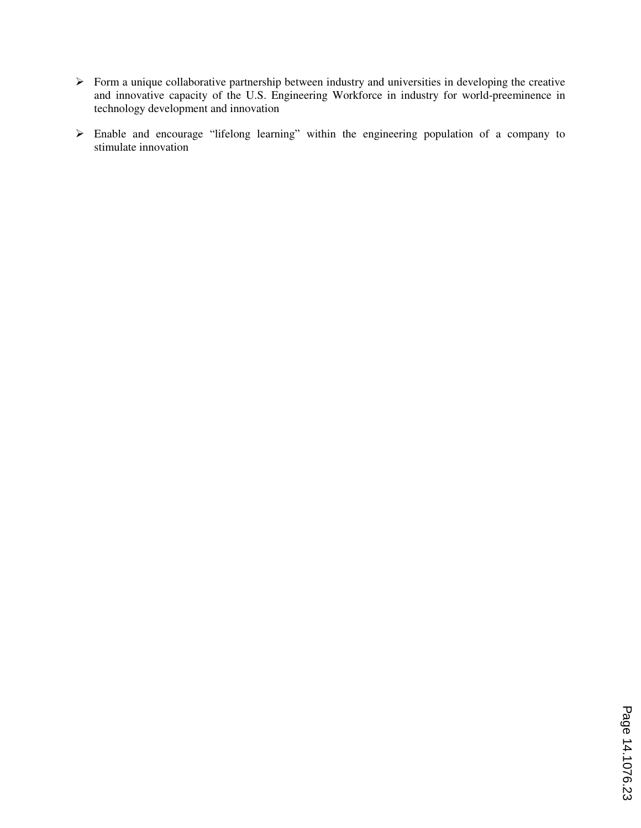- Ø Form a unique collaborative partnership between industry and universities in developing the creative and innovative capacity of the U.S. Engineering Workforce in industry for world-preeminence in technology development and innovation
- Ø Enable and encourage "lifelong learning" within the engineering population of a company to stimulate innovation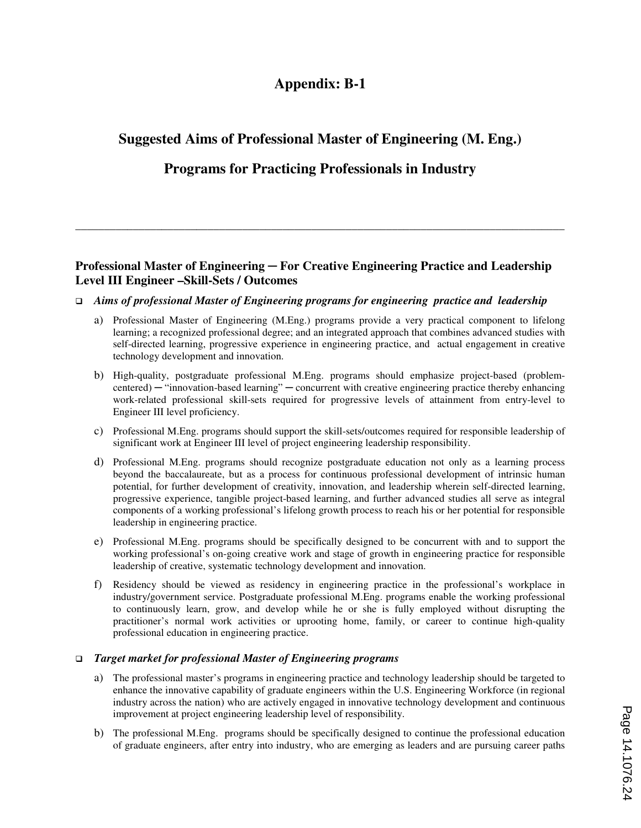## **Appendix: B-1**

# **Suggested Aims of Professional Master of Engineering (M. Eng.)**

# **Programs for Practicing Professionals in Industry**

\_\_\_\_\_\_\_\_\_\_\_\_\_\_\_\_\_\_\_\_\_\_\_\_\_\_\_\_\_\_\_\_\_\_\_\_\_\_\_\_\_\_\_\_\_\_\_\_\_\_\_\_\_\_\_\_\_\_\_\_\_\_\_\_\_\_\_\_\_\_\_\_\_\_\_\_\_\_\_\_\_\_\_\_\_

#### **Professional Master of Engineering ─ For Creative Engineering Practice and Leadership Level III Engineer –Skill-Sets / Outcomes**

#### q *Aims of professional Master of Engineering programs for engineering practice and leadership*

- a) Professional Master of Engineering (M.Eng.) programs provide a very practical component to lifelong learning; a recognized professional degree; and an integrated approach that combines advanced studies with self-directed learning, progressive experience in engineering practice, and actual engagement in creative technology development and innovation.
- b) High-quality, postgraduate professional M.Eng. programs should emphasize project-based (problemcentered) — "innovation-based learning" — concurrent with creative engineering practice thereby enhancing work-related professional skill-sets required for progressive levels of attainment from entry-level to Engineer III level proficiency.
- c) Professional M.Eng. programs should support the skill-sets/outcomes required for responsible leadership of significant work at Engineer III level of project engineering leadership responsibility.
- d) Professional M.Eng. programs should recognize postgraduate education not only as a learning process beyond the baccalaureate, but as a process for continuous professional development of intrinsic human potential, for further development of creativity, innovation, and leadership wherein self-directed learning, progressive experience, tangible project-based learning, and further advanced studies all serve as integral components of a working professional's lifelong growth process to reach his or her potential for responsible leadership in engineering practice.
- e) Professional M.Eng. programs should be specifically designed to be concurrent with and to support the working professional's on-going creative work and stage of growth in engineering practice for responsible leadership of creative, systematic technology development and innovation.
- f) Residency should be viewed as residency in engineering practice in the professional's workplace in industry/government service. Postgraduate professional M.Eng. programs enable the working professional to continuously learn, grow, and develop while he or she is fully employed without disrupting the practitioner's normal work activities or uprooting home, family, or career to continue high-quality professional education in engineering practice.

#### q *Target market for professional Master of Engineering programs*

- a) The professional master's programs in engineering practice and technology leadership should be targeted to enhance the innovative capability of graduate engineers within the U.S. Engineering Workforce (in regional industry across the nation) who are actively engaged in innovative technology development and continuous improvement at project engineering leadership level of responsibility.
- b) The professional M.Eng. programs should be specifically designed to continue the professional education of graduate engineers, after entry into industry, who are emerging as leaders and are pursuing career paths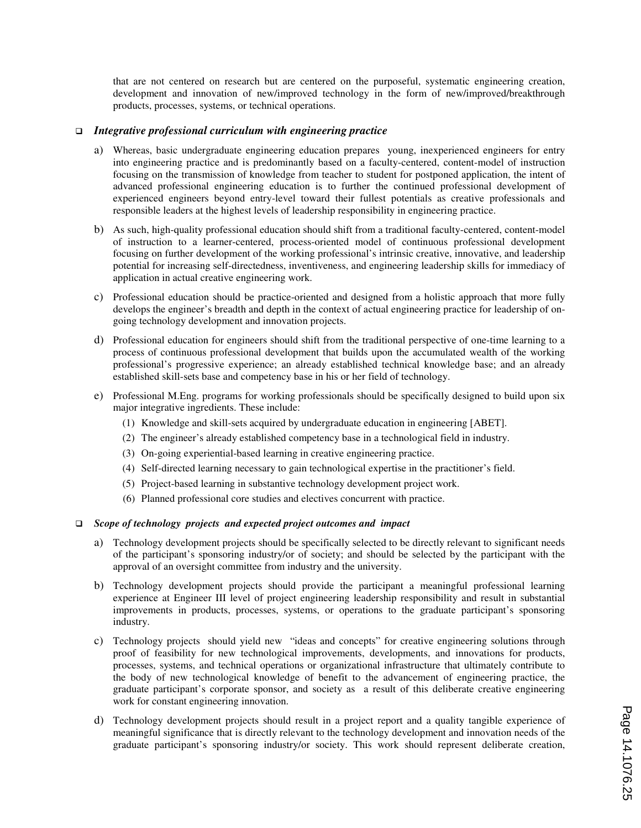that are not centered on research but are centered on the purposeful, systematic engineering creation, development and innovation of new/improved technology in the form of new/improved/breakthrough products, processes, systems, or technical operations.

#### q *Integrative professional curriculum with engineering practice*

- a) Whereas, basic undergraduate engineering education prepares young, inexperienced engineers for entry into engineering practice and is predominantly based on a faculty-centered, content-model of instruction focusing on the transmission of knowledge from teacher to student for postponed application, the intent of advanced professional engineering education is to further the continued professional development of experienced engineers beyond entry-level toward their fullest potentials as creative professionals and responsible leaders at the highest levels of leadership responsibility in engineering practice.
- b) As such, high-quality professional education should shift from a traditional faculty-centered, content-model of instruction to a learner-centered, process-oriented model of continuous professional development focusing on further development of the working professional's intrinsic creative, innovative, and leadership potential for increasing self-directedness, inventiveness, and engineering leadership skills for immediacy of application in actual creative engineering work.
- c) Professional education should be practice-oriented and designed from a holistic approach that more fully develops the engineer's breadth and depth in the context of actual engineering practice for leadership of ongoing technology development and innovation projects.
- d) Professional education for engineers should shift from the traditional perspective of one-time learning to a process of continuous professional development that builds upon the accumulated wealth of the working professional's progressive experience; an already established technical knowledge base; and an already established skill-sets base and competency base in his or her field of technology.
- e) Professional M.Eng. programs for working professionals should be specifically designed to build upon six major integrative ingredients. These include:
	- (1) Knowledge and skill-sets acquired by undergraduate education in engineering [ABET].
	- (2) The engineer's already established competency base in a technological field in industry.
	- (3) On-going experiential-based learning in creative engineering practice.
	- (4) Self-directed learning necessary to gain technological expertise in the practitioner's field.
	- (5) Project-based learning in substantive technology development project work.
	- (6) Planned professional core studies and electives concurrent with practice.

#### q *Scope of technology projects and expected project outcomes and impact*

- a) Technology development projects should be specifically selected to be directly relevant to significant needs of the participant's sponsoring industry/or of society; and should be selected by the participant with the approval of an oversight committee from industry and the university.
- b) Technology development projects should provide the participant a meaningful professional learning experience at Engineer III level of project engineering leadership responsibility and result in substantial improvements in products, processes, systems, or operations to the graduate participant's sponsoring industry.
- c) Technology projects should yield new "ideas and concepts" for creative engineering solutions through proof of feasibility for new technological improvements, developments, and innovations for products, processes, systems, and technical operations or organizational infrastructure that ultimately contribute to the body of new technological knowledge of benefit to the advancement of engineering practice, the graduate participant's corporate sponsor, and society as a result of this deliberate creative engineering work for constant engineering innovation.
- d) Technology development projects should result in a project report and a quality tangible experience of meaningful significance that is directly relevant to the technology development and innovation needs of the graduate participant's sponsoring industry/or society. This work should represent deliberate creation,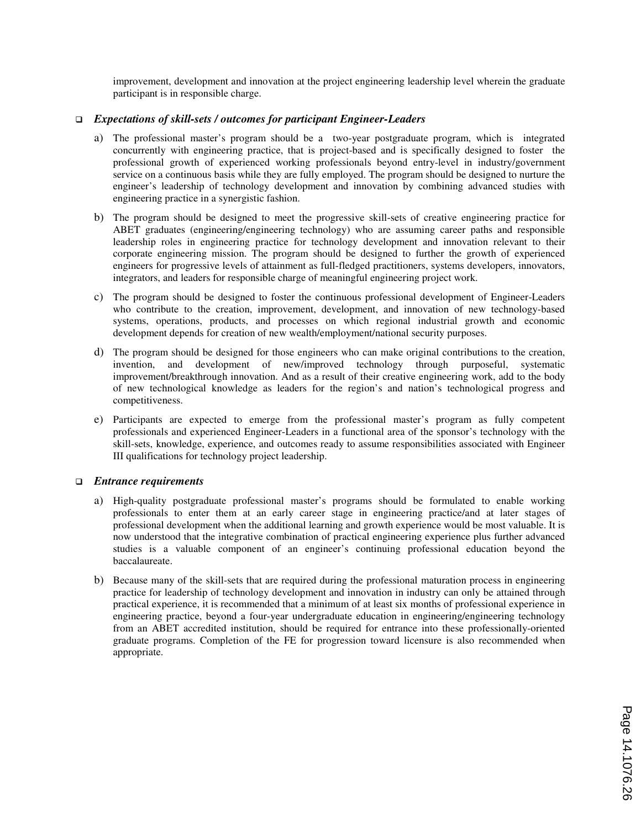improvement, development and innovation at the project engineering leadership level wherein the graduate participant is in responsible charge.

#### q *Expectations of skill-sets / outcomes for participant Engineer-Leaders*

- a) The professional master's program should be a two-year postgraduate program, which is integrated concurrently with engineering practice, that is project-based and is specifically designed to foster the professional growth of experienced working professionals beyond entry-level in industry/government service on a continuous basis while they are fully employed. The program should be designed to nurture the engineer's leadership of technology development and innovation by combining advanced studies with engineering practice in a synergistic fashion.
- b) The program should be designed to meet the progressive skill-sets of creative engineering practice for ABET graduates (engineering/engineering technology) who are assuming career paths and responsible leadership roles in engineering practice for technology development and innovation relevant to their corporate engineering mission. The program should be designed to further the growth of experienced engineers for progressive levels of attainment as full-fledged practitioners, systems developers, innovators, integrators, and leaders for responsible charge of meaningful engineering project work.
- c) The program should be designed to foster the continuous professional development of Engineer-Leaders who contribute to the creation, improvement, development, and innovation of new technology-based systems, operations, products, and processes on which regional industrial growth and economic development depends for creation of new wealth/employment/national security purposes.
- d) The program should be designed for those engineers who can make original contributions to the creation, invention, and development of new/improved technology through purposeful, systematic improvement/breakthrough innovation. And as a result of their creative engineering work, add to the body of new technological knowledge as leaders for the region's and nation's technological progress and competitiveness.
- e) Participants are expected to emerge from the professional master's program as fully competent professionals and experienced Engineer-Leaders in a functional area of the sponsor's technology with the skill-sets, knowledge, experience, and outcomes ready to assume responsibilities associated with Engineer III qualifications for technology project leadership.

#### q *Entrance requirements*

- a) High-quality postgraduate professional master's programs should be formulated to enable working professionals to enter them at an early career stage in engineering practice/and at later stages of professional development when the additional learning and growth experience would be most valuable. It is now understood that the integrative combination of practical engineering experience plus further advanced studies is a valuable component of an engineer's continuing professional education beyond the baccalaureate.
- b) Because many of the skill-sets that are required during the professional maturation process in engineering practice for leadership of technology development and innovation in industry can only be attained through practical experience, it is recommended that a minimum of at least six months of professional experience in engineering practice, beyond a four-year undergraduate education in engineering/engineering technology from an ABET accredited institution, should be required for entrance into these professionally-oriented graduate programs. Completion of the FE for progression toward licensure is also recommended when appropriate.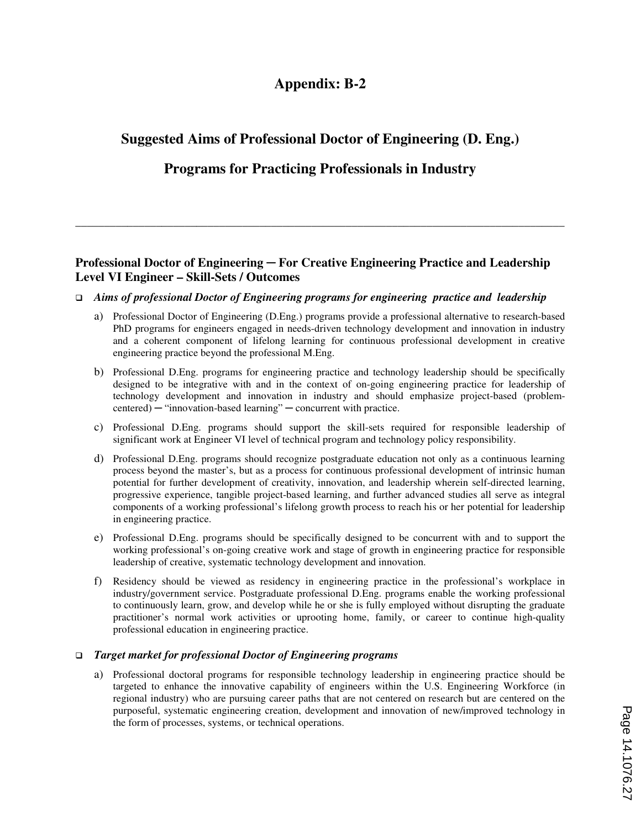## **Appendix: B-2**

## **Suggested Aims of Professional Doctor of Engineering (D. Eng.)**

## **Programs for Practicing Professionals in Industry**

\_\_\_\_\_\_\_\_\_\_\_\_\_\_\_\_\_\_\_\_\_\_\_\_\_\_\_\_\_\_\_\_\_\_\_\_\_\_\_\_\_\_\_\_\_\_\_\_\_\_\_\_\_\_\_\_\_\_\_\_\_\_\_\_\_\_\_\_\_\_\_\_\_\_\_\_\_\_\_\_\_\_\_\_\_

#### **Professional Doctor of Engineering ─ For Creative Engineering Practice and Leadership Level VI Engineer – Skill-Sets / Outcomes**

#### q *Aims of professional Doctor of Engineering programs for engineering practice and leadership*

- a) Professional Doctor of Engineering (D.Eng.) programs provide a professional alternative to research-based PhD programs for engineers engaged in needs-driven technology development and innovation in industry and a coherent component of lifelong learning for continuous professional development in creative engineering practice beyond the professional M.Eng.
- b) Professional D.Eng. programs for engineering practice and technology leadership should be specifically designed to be integrative with and in the context of on-going engineering practice for leadership of technology development and innovation in industry and should emphasize project-based (problemcentered) ─ "innovation-based learning" ─ concurrent with practice.
- c) Professional D.Eng. programs should support the skill-sets required for responsible leadership of significant work at Engineer VI level of technical program and technology policy responsibility.
- d) Professional D.Eng. programs should recognize postgraduate education not only as a continuous learning process beyond the master's, but as a process for continuous professional development of intrinsic human potential for further development of creativity, innovation, and leadership wherein self-directed learning, progressive experience, tangible project-based learning, and further advanced studies all serve as integral components of a working professional's lifelong growth process to reach his or her potential for leadership in engineering practice.
- e) Professional D.Eng. programs should be specifically designed to be concurrent with and to support the working professional's on-going creative work and stage of growth in engineering practice for responsible leadership of creative, systematic technology development and innovation.
- f) Residency should be viewed as residency in engineering practice in the professional's workplace in industry/government service. Postgraduate professional D.Eng. programs enable the working professional to continuously learn, grow, and develop while he or she is fully employed without disrupting the graduate practitioner's normal work activities or uprooting home, family, or career to continue high-quality professional education in engineering practice.

#### q *Target market for professional Doctor of Engineering programs*

a) Professional doctoral programs for responsible technology leadership in engineering practice should be targeted to enhance the innovative capability of engineers within the U.S. Engineering Workforce (in regional industry) who are pursuing career paths that are not centered on research but are centered on the purposeful, systematic engineering creation, development and innovation of new/improved technology in the form of processes, systems, or technical operations.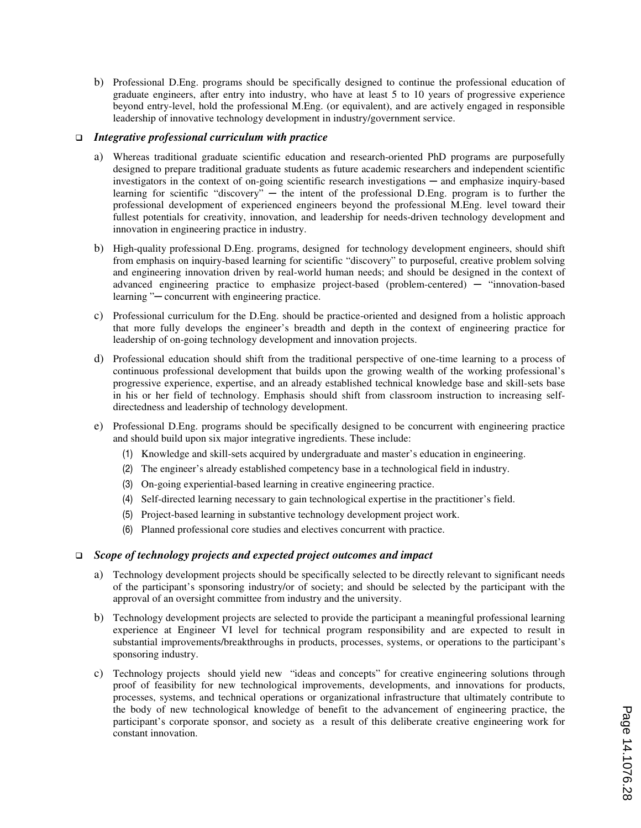b) Professional D.Eng. programs should be specifically designed to continue the professional education of graduate engineers, after entry into industry, who have at least 5 to 10 years of progressive experience beyond entry-level, hold the professional M.Eng. (or equivalent), and are actively engaged in responsible leadership of innovative technology development in industry/government service.

#### q *Integrative professional curriculum with practice*

- a) Whereas traditional graduate scientific education and research-oriented PhD programs are purposefully designed to prepare traditional graduate students as future academic researchers and independent scientific investigators in the context of on-going scientific research investigations ─ and emphasize inquiry-based learning for scientific "discovery" — the intent of the professional D.Eng. program is to further the professional development of experienced engineers beyond the professional M.Eng. level toward their fullest potentials for creativity, innovation, and leadership for needs-driven technology development and innovation in engineering practice in industry.
- b) High-quality professional D.Eng. programs, designed for technology development engineers, should shift from emphasis on inquiry-based learning for scientific "discovery" to purposeful, creative problem solving and engineering innovation driven by real-world human needs; and should be designed in the context of advanced engineering practice to emphasize project-based (problem-centered) ─ "innovation-based learning "— concurrent with engineering practice.
- c) Professional curriculum for the D.Eng. should be practice-oriented and designed from a holistic approach that more fully develops the engineer's breadth and depth in the context of engineering practice for leadership of on-going technology development and innovation projects.
- d) Professional education should shift from the traditional perspective of one-time learning to a process of continuous professional development that builds upon the growing wealth of the working professional's progressive experience, expertise, and an already established technical knowledge base and skill-sets base in his or her field of technology. Emphasis should shift from classroom instruction to increasing selfdirectedness and leadership of technology development.
- e) Professional D.Eng. programs should be specifically designed to be concurrent with engineering practice and should build upon six major integrative ingredients. These include:
	- (1) Knowledge and skill-sets acquired by undergraduate and master's education in engineering.
	- (2) The engineer's already established competency base in a technological field in industry.
	- (3) On-going experiential-based learning in creative engineering practice.
	- (4) Self-directed learning necessary to gain technological expertise in the practitioner's field.
	- (5) Project-based learning in substantive technology development project work.
	- (6) Planned professional core studies and electives concurrent with practice.

#### q *Scope of technology projects and expected project outcomes and impact*

- a) Technology development projects should be specifically selected to be directly relevant to significant needs of the participant's sponsoring industry/or of society; and should be selected by the participant with the approval of an oversight committee from industry and the university.
- b) Technology development projects are selected to provide the participant a meaningful professional learning experience at Engineer VI level for technical program responsibility and are expected to result in substantial improvements/breakthroughs in products, processes, systems, or operations to the participant's sponsoring industry.
- c) Technology projects should yield new "ideas and concepts" for creative engineering solutions through proof of feasibility for new technological improvements, developments, and innovations for products, processes, systems, and technical operations or organizational infrastructure that ultimately contribute to the body of new technological knowledge of benefit to the advancement of engineering practice, the participant's corporate sponsor, and society as a result of this deliberate creative engineering work for constant innovation.